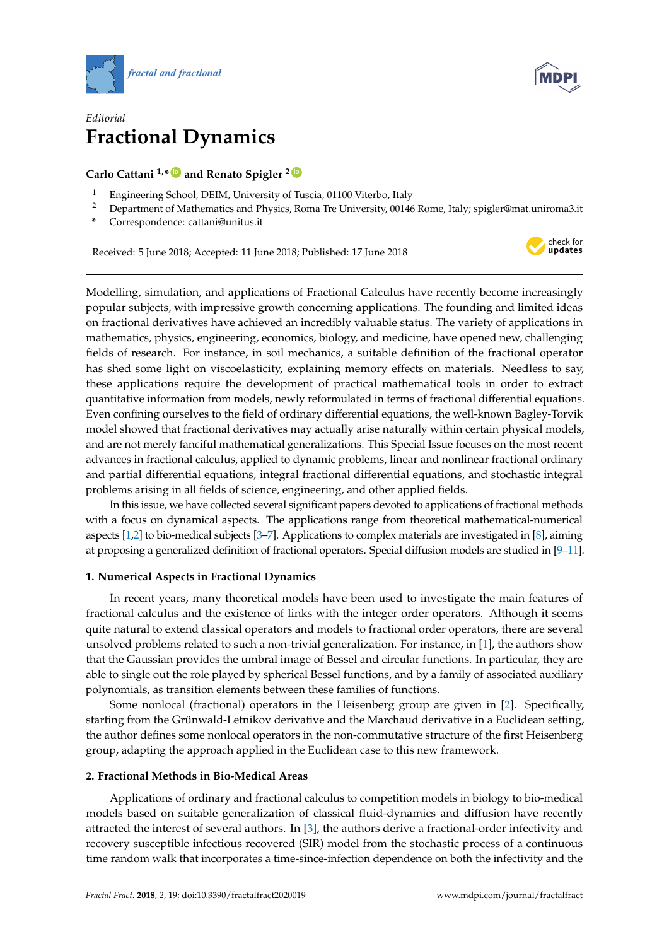



# *Editorial* **Fractional Dynamics**

# **Carlo Cattani 1,\* [ID](https://orcid.org/0000-0002-7504-0424) and Renato Spigler <sup>2</sup> [ID](https://orcid.org/0000-0002-4561-4845)**

- <sup>1</sup> Engineering School, DEIM, University of Tuscia, 01100 Viterbo, Italy
- <sup>2</sup> Department of Mathematics and Physics, Roma Tre University, 00146 Rome, Italy; spigler@mat.uniroma3.it
- **\*** Correspondence: cattani@unitus.it

Received: 5 June 2018; Accepted: 11 June 2018; Published: 17 June 2018



Modelling, simulation, and applications of Fractional Calculus have recently become increasingly popular subjects, with impressive growth concerning applications. The founding and limited ideas on fractional derivatives have achieved an incredibly valuable status. The variety of applications in mathematics, physics, engineering, economics, biology, and medicine, have opened new, challenging fields of research. For instance, in soil mechanics, a suitable definition of the fractional operator has shed some light on viscoelasticity, explaining memory effects on materials. Needless to say, these applications require the development of practical mathematical tools in order to extract quantitative information from models, newly reformulated in terms of fractional differential equations. Even confining ourselves to the field of ordinary differential equations, the well-known Bagley-Torvik model showed that fractional derivatives may actually arise naturally within certain physical models, and are not merely fanciful mathematical generalizations. This Special Issue focuses on the most recent advances in fractional calculus, applied to dynamic problems, linear and nonlinear fractional ordinary and partial differential equations, integral fractional differential equations, and stochastic integral problems arising in all fields of science, engineering, and other applied fields.

In this issue, we have collected several significant papers devoted to applications of fractional methods with a focus on dynamical aspects. The applications range from theoretical mathematical-numerical aspects [\[1,](#page-2-0)[2\]](#page-2-1) to bio-medical subjects [\[3–](#page-2-2)[7\]](#page-2-3). Applications to complex materials are investigated in [\[8\]](#page-2-4), aiming at proposing a generalized definition of fractional operators. Special diffusion models are studied in [\[9–](#page-2-5)[11\]](#page-2-6).

## **1. Numerical Aspects in Fractional Dynamics**

In recent years, many theoretical models have been used to investigate the main features of fractional calculus and the existence of links with the integer order operators. Although it seems quite natural to extend classical operators and models to fractional order operators, there are several unsolved problems related to such a non-trivial generalization. For instance, in [\[1\]](#page-2-0), the authors show that the Gaussian provides the umbral image of Bessel and circular functions. In particular, they are able to single out the role played by spherical Bessel functions, and by a family of associated auxiliary polynomials, as transition elements between these families of functions.

Some nonlocal (fractional) operators in the Heisenberg group are given in [\[2\]](#page-2-1). Specifically, starting from the Grünwald-Letnikov derivative and the Marchaud derivative in a Euclidean setting, the author defines some nonlocal operators in the non-commutative structure of the first Heisenberg group, adapting the approach applied in the Euclidean case to this new framework.

## **2. Fractional Methods in Bio-Medical Areas**

Applications of ordinary and fractional calculus to competition models in biology to bio-medical models based on suitable generalization of classical fluid-dynamics and diffusion have recently attracted the interest of several authors. In [\[3\]](#page-2-2), the authors derive a fractional-order infectivity and recovery susceptible infectious recovered (SIR) model from the stochastic process of a continuous time random walk that incorporates a time-since-infection dependence on both the infectivity and the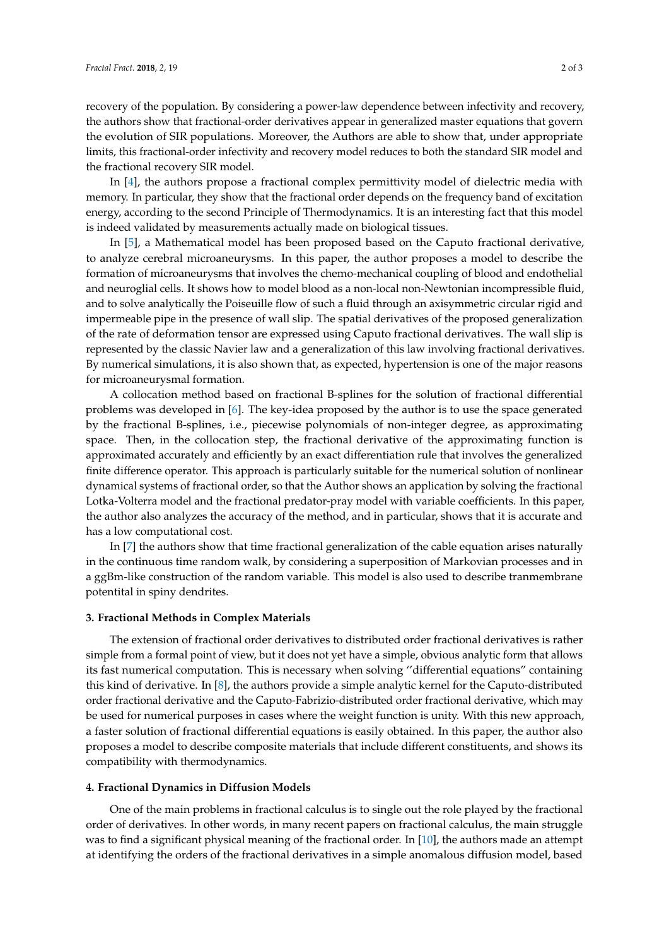recovery of the population. By considering a power-law dependence between infectivity and recovery, the authors show that fractional-order derivatives appear in generalized master equations that govern the evolution of SIR populations. Moreover, the Authors are able to show that, under appropriate limits, this fractional-order infectivity and recovery model reduces to both the standard SIR model and the fractional recovery SIR model.

In [\[4\]](#page-2-7), the authors propose a fractional complex permittivity model of dielectric media with memory. In particular, they show that the fractional order depends on the frequency band of excitation energy, according to the second Principle of Thermodynamics. It is an interesting fact that this model is indeed validated by measurements actually made on biological tissues.

In [\[5\]](#page-2-8), a Mathematical model has been proposed based on the Caputo fractional derivative, to analyze cerebral microaneurysms. In this paper, the author proposes a model to describe the formation of microaneurysms that involves the chemo-mechanical coupling of blood and endothelial and neuroglial cells. It shows how to model blood as a non-local non-Newtonian incompressible fluid, and to solve analytically the Poiseuille flow of such a fluid through an axisymmetric circular rigid and impermeable pipe in the presence of wall slip. The spatial derivatives of the proposed generalization of the rate of deformation tensor are expressed using Caputo fractional derivatives. The wall slip is represented by the classic Navier law and a generalization of this law involving fractional derivatives. By numerical simulations, it is also shown that, as expected, hypertension is one of the major reasons for microaneurysmal formation.

A collocation method based on fractional B-splines for the solution of fractional differential problems was developed in [\[6\]](#page-2-9). The key-idea proposed by the author is to use the space generated by the fractional B-splines, i.e., piecewise polynomials of non-integer degree, as approximating space. Then, in the collocation step, the fractional derivative of the approximating function is approximated accurately and efficiently by an exact differentiation rule that involves the generalized finite difference operator. This approach is particularly suitable for the numerical solution of nonlinear dynamical systems of fractional order, so that the Author shows an application by solving the fractional Lotka-Volterra model and the fractional predator-pray model with variable coefficients. In this paper, the author also analyzes the accuracy of the method, and in particular, shows that it is accurate and has a low computational cost.

In [\[7\]](#page-2-3) the authors show that time fractional generalization of the cable equation arises naturally in the continuous time random walk, by considering a superposition of Markovian processes and in a ggBm-like construction of the random variable. This model is also used to describe tranmembrane potentital in spiny dendrites.

### **3. Fractional Methods in Complex Materials**

The extension of fractional order derivatives to distributed order fractional derivatives is rather simple from a formal point of view, but it does not yet have a simple, obvious analytic form that allows its fast numerical computation. This is necessary when solving ''differential equations" containing this kind of derivative. In [\[8\]](#page-2-4), the authors provide a simple analytic kernel for the Caputo-distributed order fractional derivative and the Caputo-Fabrizio-distributed order fractional derivative, which may be used for numerical purposes in cases where the weight function is unity. With this new approach, a faster solution of fractional differential equations is easily obtained. In this paper, the author also proposes a model to describe composite materials that include different constituents, and shows its compatibility with thermodynamics.

#### **4. Fractional Dynamics in Diffusion Models**

One of the main problems in fractional calculus is to single out the role played by the fractional order of derivatives. In other words, in many recent papers on fractional calculus, the main struggle was to find a significant physical meaning of the fractional order. In [\[10\]](#page-2-10), the authors made an attempt at identifying the orders of the fractional derivatives in a simple anomalous diffusion model, based